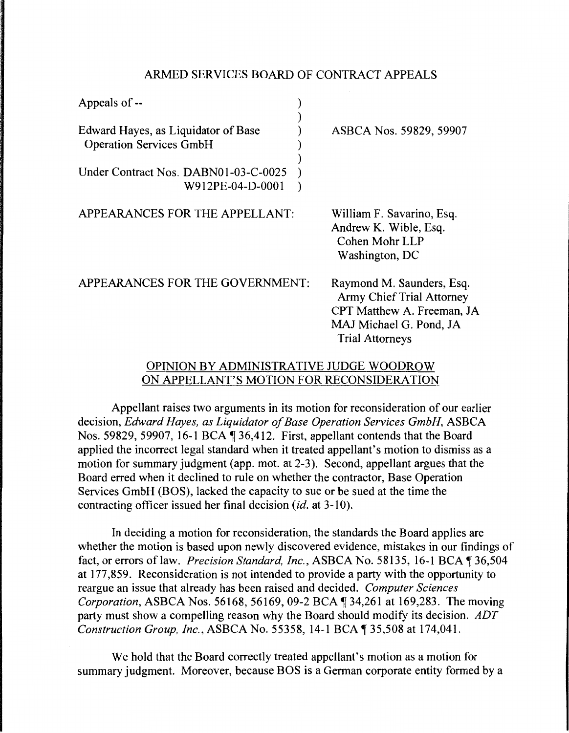## ARMED SERVICES BOARD OF CONTRACT APPEALS

| Appeals of --                                                         |                                                                                                                                           |
|-----------------------------------------------------------------------|-------------------------------------------------------------------------------------------------------------------------------------------|
| Edward Hayes, as Liquidator of Base<br><b>Operation Services GmbH</b> | ASBCA Nos. 59829, 59907                                                                                                                   |
| Under Contract Nos. DABN01-03-C-0025                                  |                                                                                                                                           |
| W912PE-04-D-0001                                                      |                                                                                                                                           |
| APPEARANCES FOR THE APPELLANT:                                        | William F. Savarino, Esq.<br>Andrew K. Wible, Esq.<br>Cohen Mohr LLP<br>Washington, DC                                                    |
| APPEARANCES FOR THE GOVERNMENT:                                       | Raymond M. Saunders, Esq.<br>Army Chief Trial Attorney<br>CPT Matthew A. Freeman, JA<br>MAJ Michael G. Pond, JA<br><b>Trial Attorneys</b> |
|                                                                       |                                                                                                                                           |

## OPINION BY ADMINISTRATIVE JUDGE WOODROW ON APPELLANT'S MOTION FOR RECONSIDERATION

Appellant raises two arguments in its motion for reconsideration of our earlier decision, *Edward Hayes, as Liquidator of Base Operation Services GmbH,* ASBCA Nos. 59829, 59907, 16-1 BCA ¶ 36,412. First, appellant contends that the Board applied the incorrect legal standard when it treated appellant's motion to dismiss as a motion for summary judgment (app. mot. at 2-3). Second, appellant argues that the Board erred when it declined to rule on whether the contractor, Base Operation Services GmbH (BOS), lacked the capacity to sue or be sued at the time the contracting officer issued her final decision *(id.* at 3-10).

In deciding a motion for reconsideration, the standards the Board applies are whether the motion is based upon newly discovered evidence, mistakes in our findings of fact, or errors of law. *Precision Standard, Inc.*, ASBCA No. 58135, 16-1 BCA 136,504 at 177 ,859. Reconsideration is not intended to provide a party with the opportunity to reargue an issue that already has been raised and decided. *Computer Sciences Corporation, ASBCA Nos.* 56168, 56169, 09-2 BCA ¶ 34,261 at 169,283. The moving party must show a compelling reason why the Board should modify its decision. *ADT Construction Group, Inc., ASBCA No.* 55358, 14-1 BCA  $\P$  35,508 at 174,041.

We hold that the Board correctly treated appellant's motion as a motion for summary judgment. Moreover, because BOS is a German corporate entity formed by a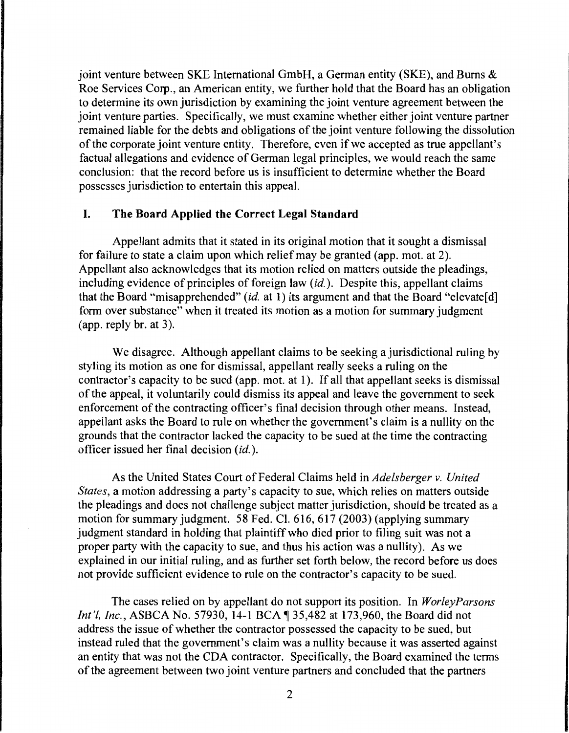joint venture between SKE International GmbH, a German entity (SKE), and Bums & Roe Services Corp., an American entity, we further hold that the Board has an obligation to determine its own jurisdiction by examining the joint venture agreement between the joint venture parties. Specifically, we must examine whether either joint venture partner remained liable for the debts and obligations of the joint venture following the dissolution of the corporate joint venture entity. Therefore, even if we accepted as true appellant's factual allegations and evidence of German legal principles, we would reach the same conclusion: that the record before us is insufficient to determine whether the Board possesses jurisdiction to entertain this appeal.

## **I. The Board Applied the Correct Legal Standard**

Appellant admits that it stated in its original motion that it sought a dismissal for failure to state a claim upon which relief may be granted (app. mot. at 2). Appellant also acknowledges that its motion relied on matters outside the pleadings, including evidence of principles of foreign law *(id.).* Despite this, appellant claims that the Board "misapprehended" *(id.* at 1) its argument and that the Board "elevate[d] form over substance" when it treated its motion as a motion for summary judgment (app. reply br. at 3).

We disagree. Although appellant claims to be seeking a jurisdictional ruling by styling its motion as one for dismissal, appellant really seeks a ruling on the contractor's capacity to be sued (app. mot. at 1 ). If all that appellant seeks is dismissal of the appeal, it voluntarily could dismiss its appeal and leave the government to seek enforcement of the contracting officer's final decision through other means. Instead, appellant asks the Board to rule on whether the government's claim is a nullity on the grounds that the contractor lacked the capacity to be sued at the time the contracting officer issued her final decision *(id.).* 

As the United States Court of Federal Claims held in *Adels berger v. United States,* a motion addressing a party's capacity to sue, which relies on matters outside the pleadings and does not challenge subject matter jurisdiction, should be treated as a motion for summary judgment. 58 Fed. Cl. 616, 617 (2003) (applying summary judgment standard in holding that plaintiff who died prior to filing suit was not a proper party with the capacity to sue, and thus his action was a nullity). As we explained in our initial ruling, and as further set forth below, the record before us does not provide sufficient evidence to rule on the contractor's capacity to be sued.

The cases relied on by appellant do not support its position. In *WorleyParsons Int'l, Inc., ASBCA No. 57930, 14-1 BCA*, 35,482 at 173,960, the Board did not address the issue of whether the contractor possessed the capacity to be sued, but instead ruled that the government's claim was a nullity because it was asserted against an entity that was not the CDA contractor. Specifically, the Board examined the terms of the agreement between two joint venture partners and concluded that the partners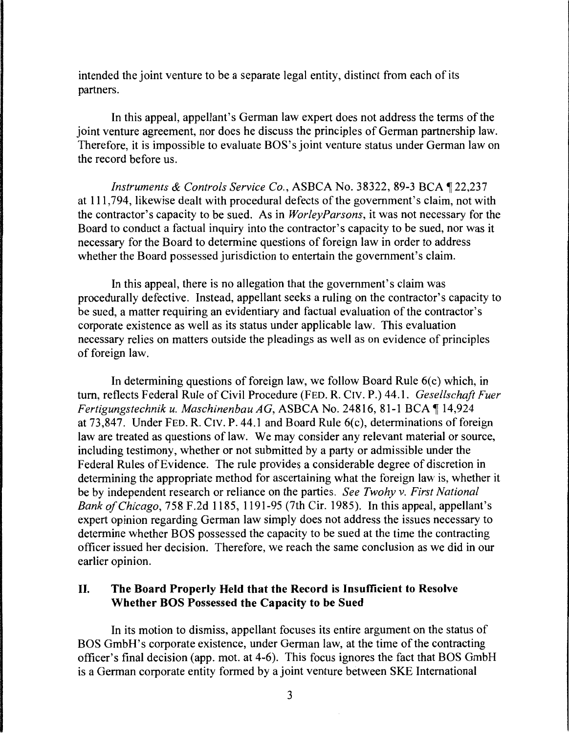intended the joint venture to be a separate legal entity, distinct from each of its partners.

In this appeal, appellant's German law expert does not address the terms of the joint venture agreement, nor does he discuss the principles of German partnership law. Therefore, it is impossible to evaluate BOS's joint venture status under German law on the record before us.

*Instruments & Controls Service Co., ASBCA No. 38322, 89-3 BCA 122,237* at 111, 794, likewise dealt with procedural defects of the government's claim, not with the contractor's capacity to be sued. As in *WorleyParsons,* it was not necessary for the Board to conduct a factual inquiry into the contractor's capacity to be sued, nor was it necessary for the Board to determine questions of foreign law in order to address whether the Board possessed jurisdiction to entertain the government's claim.

In this appeal, there is no allegation that the government's claim was procedurally defective. Instead, appellant seeks a ruling on the contractor's capacity to be sued, a matter requiring an evidentiary and factual evaluation of the contractor's corporate existence as well as its status under applicable law. This evaluation necessary relies on matters outside the pleadings as well as on evidence of principles of foreign law.

In determining questions of foreign law, we follow Board Rule 6(c) which, in turn, reflects Federal Rule of Civil Procedure (FED. R. CIV. P.) 44.1. *Gesellschaft Fuer Fertigungstechnik u. Maschinenbau AG, ASBCA No.* 24816, 81-1 BCA 14,924 at 73,847. Under FED. R. C1v. P. 44.1 and Board Rule 6(c), determinations of foreign law are treated as questions of law. We may consider any relevant material or source, including testimony, whether or not submitted by a party or admissible under the Federal Rules of Evidence. The rule provides a considerable degree of discretion in determining the appropriate method for ascertaining what the foreign law is, whether it be by independent research or reliance on the parties. *See Twohy v. First National Bank of Chicago,* 758 F.2d 1185, 1191-95 (7th Cir. 1985). In this appeal, appellant's expert opinion regarding German law simply does not address the issues necessary to determine whether BOS possessed the capacity to be sued at the time the contracting officer issued her decision. Therefore, we reach the same conclusion as we did in our earlier opinion.

## II. The Board Properly Held that the Record is Insufficient to Resolve Whether BOS Possessed the Capacity to be Sued

In its motion to dismiss, appellant focuses its entire argument on the status of BOS GmbH's corporate existence, under German law, at the time of the contracting officer's final decision (app. mot. at 4-6). This focus ignores the fact that BOS GmbH is a German corporate entity formed by a joint venture between SKE International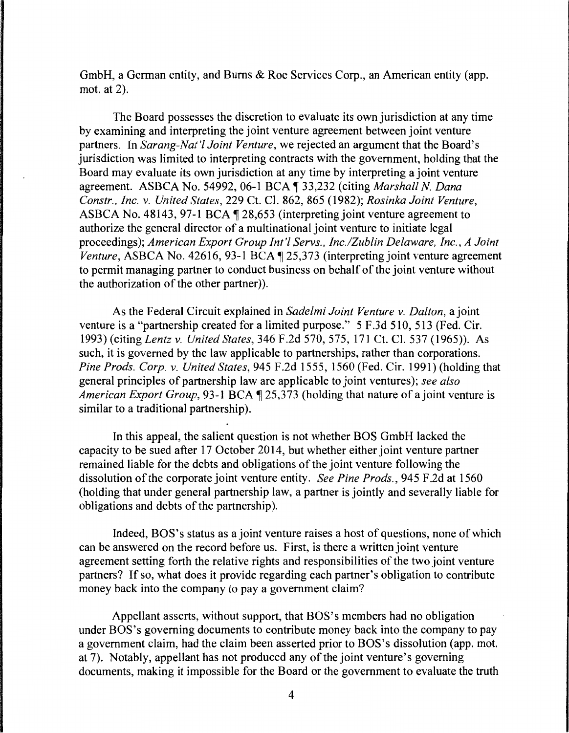GmbH, a German entity, and Bums & Roe Services Corp., an American entity (app. mot. at 2).

The Board possesses the discretion to evaluate its own jurisdiction at any time by examining and interpreting the joint venture agreement between joint venture partners. In *Sarang-Nat'l Joint Venture,* we rejected an argument that the Board's jurisdiction was limited to interpreting contracts with the government, holding that the Board may evaluate its own jurisdiction at any time by interpreting a joint venture agreement. ASBCA No. 54992, 06-1BCA~33,232 (citing *Marshall N. Dana Constr., Inc.* v. *United States,* 229 Ct. Cl. 862, 865 (1982); *Rosinka Joint Venture,*  ASBCA No. 48143, 97-1 BCA \[ 28,653 (interpreting joint venture agreement to authorize the general director of a multinational joint venture to initiate legal proceedings); *American Export Group Int'/ Servs., lnc./Zublin Delaware, Inc., A Joint Venture, ASBCA No.* 42616, 93-1 BCA ¶ 25,373 (interpreting joint venture agreement to permit managing partner to conduct business on behalf of the joint venture without the authorization of the other partner)).

As the Federal Circuit explained in *Sade/mi Joint Venture* v. *Dalton,* a joint venture is a "partnership created for a limited purpose." 5 F.3d 510, 513 (Fed. Cir. 1993) (citing *Lentz* v. *United States,* 346 F.2d 570, 575, 171 Ct. Cl. 537 (1965)). As such, it is governed by the law applicable to partnerships, rather than corporations. *Pine Prods. Corp.* v. *United States,* 945 F.2d 1555, 1560 (Fed. Cir. 1991) (holding that general principles of partnership law are applicable to joint ventures); *see also American Export Group,* 93-1 BCA  $\P$  25,373 (holding that nature of a joint venture is similar to a traditional partnership).

In this appeal, the salient question is not whether BOS GmbH lacked the capacity to be sued after 17 October 2014, but whether either joint venture partner remained liable for the debts and obligations of the joint venture following the dissolution of the corporate joint venture entity. *See Pine Prods.,* 945 F.2d at 1560 (holding that under general partnership law, a partner is jointly and severally liable for obligations and debts of the partnership).

Indeed, BOS's status as a joint venture raises a host of questions, none of which can be answered on the record before us. First, is there a written joint venture agreement setting forth the relative rights and responsibilities of the two joint venture partners? If so, what does it provide regarding each partner's obligation to contribute money back into the company to pay a government claim?

Appellant asserts, without support, that BOS's members had no obligation under BOS's governing documents to contribute money back into the company to pay a government claim, had the claim been asserted prior to BOS's dissolution (app. mot. at 7). Notably, appellant has not produced any of the joint venture's governing documents, making it impossible for the Board or the government to evaluate the truth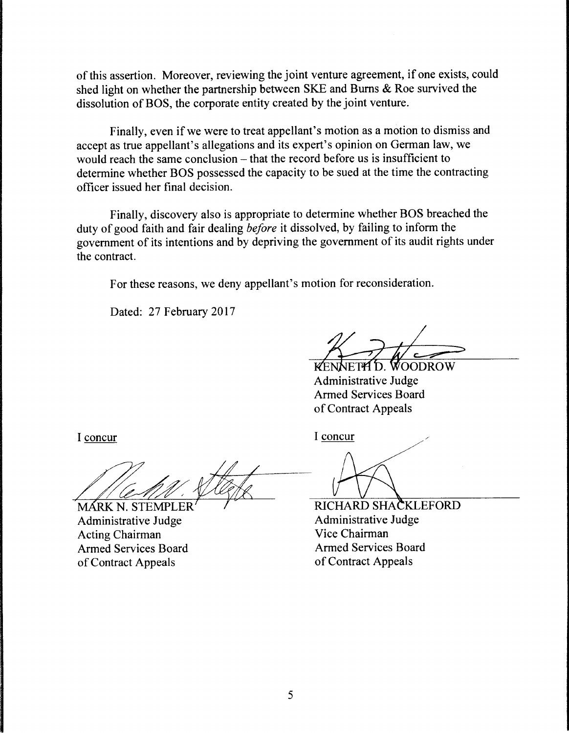of this assertion. Moreover, reviewing the joint venture agreement, if one exists, could shed light on whether the partnership between SKE and Bums & Roe survived the dissolution of BOS, the corporate entity created by the joint venture.

Finally, even if we were to treat appellant's motion as a motion to dismiss and accept as true appellant's allegations and its expert's opinion on German law, we would reach the same conclusion – that the record before us is insufficient to determine whether BOS possessed the capacity to be sued at the time the contracting officer issued her final decision.

Finally, discovery also is appropriate to determine whether BOS breached the duty of good faith and fair dealing *before* it dissolved, by failing to inform the government of its intentions and by depriving the government of its audit rights under the contract.

For these reasons, we deny appellant's motion for reconsideration.

Dated: 27 February 2017

KENNETT D. WOODROW Administrative Judge Armed Services Board of Contract Appeals

I concur

MÁRK N. STEMPLE<br>Administrative Judge Acting Chairman Armed Services Board of Contract Appeals

I concur

RICHARD SHACKLEFORD Administrative Judge Vice Chairman Armed Services Board of Contract Appeals